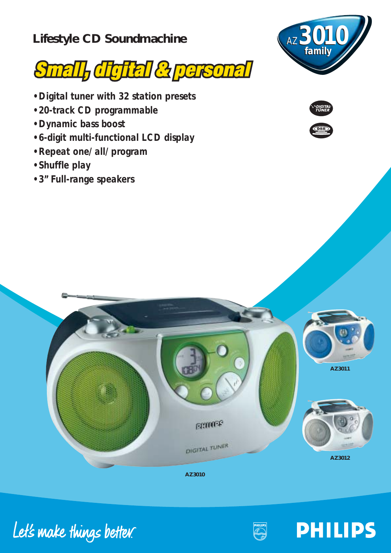## **Lifestyle CD Soundmachine**



- *• Digital tuner with 32 station presets*
- *• 20-track CD programmable*
- *• Dynamic bass boost*
- *• 6-digit multi-functional LCD display*
- *• Repeat one/ all/ program*
- *• Shuffle play*
- *3" Full-range speakers*







**AZ3010**





**PHILIPS**